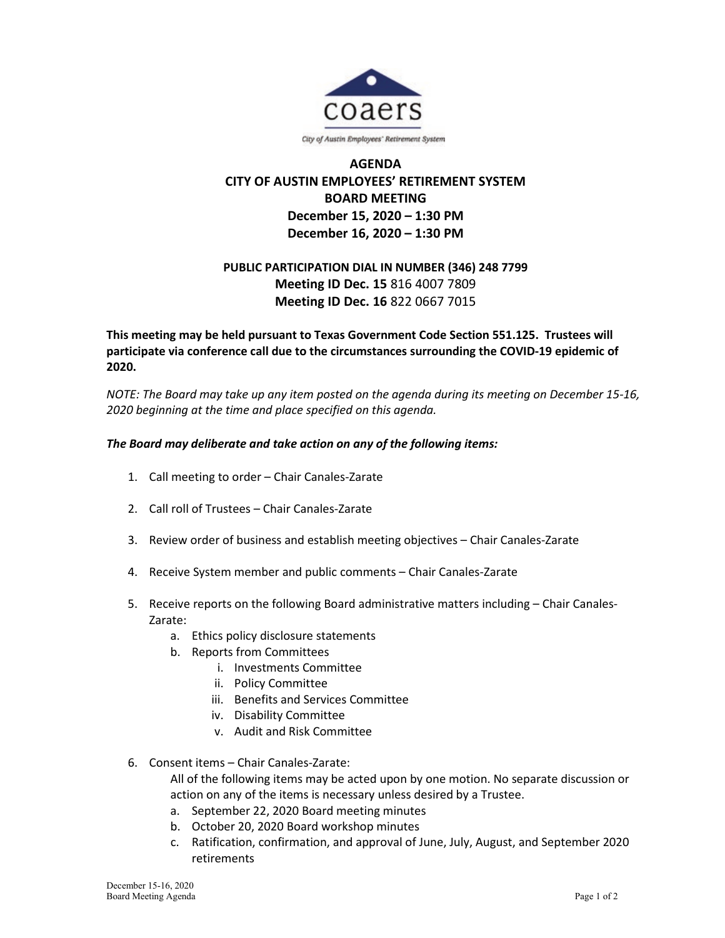

City of Austin Employees' Retirement System

## **AGENDA CITY OF AUSTIN EMPLOYEES' RETIREMENT SYSTEM BOARD MEETING December 15, 2020 – 1:30 PM December 16, 2020 – 1:30 PM**

## **PUBLIC PARTICIPATION DIAL IN NUMBER (346) 248 7799 Meeting ID Dec. 15** 816 4007 7809 **Meeting ID Dec. 16** 822 0667 7015

## **This meeting may be held pursuant to Texas Government Code Section 551.125. Trustees will participate via conference call due to the circumstances surrounding the COVID-19 epidemic of 2020.**

*NOTE: The Board may take up any item posted on the agenda during its meeting on December 15-16, 2020 beginning at the time and place specified on this agenda.*

## *The Board may deliberate and take action on any of the following items:*

- 1. Call meeting to order Chair Canales-Zarate
- 2. Call roll of Trustees Chair Canales-Zarate
- 3. Review order of business and establish meeting objectives Chair Canales-Zarate
- 4. Receive System member and public comments Chair Canales-Zarate
- 5. Receive reports on the following Board administrative matters including Chair Canales-Zarate:
	- a. Ethics policy disclosure statements
	- b. Reports from Committees
		- i. Investments Committee
		- ii. Policy Committee
		- iii. Benefits and Services Committee
		- iv. Disability Committee
		- v. Audit and Risk Committee
- 6. Consent items Chair Canales-Zarate:

All of the following items may be acted upon by one motion. No separate discussion or action on any of the items is necessary unless desired by a Trustee.

- a. September 22, 2020 Board meeting minutes
- b. October 20, 2020 Board workshop minutes
- c. Ratification, confirmation, and approval of June, July, August, and September 2020 retirements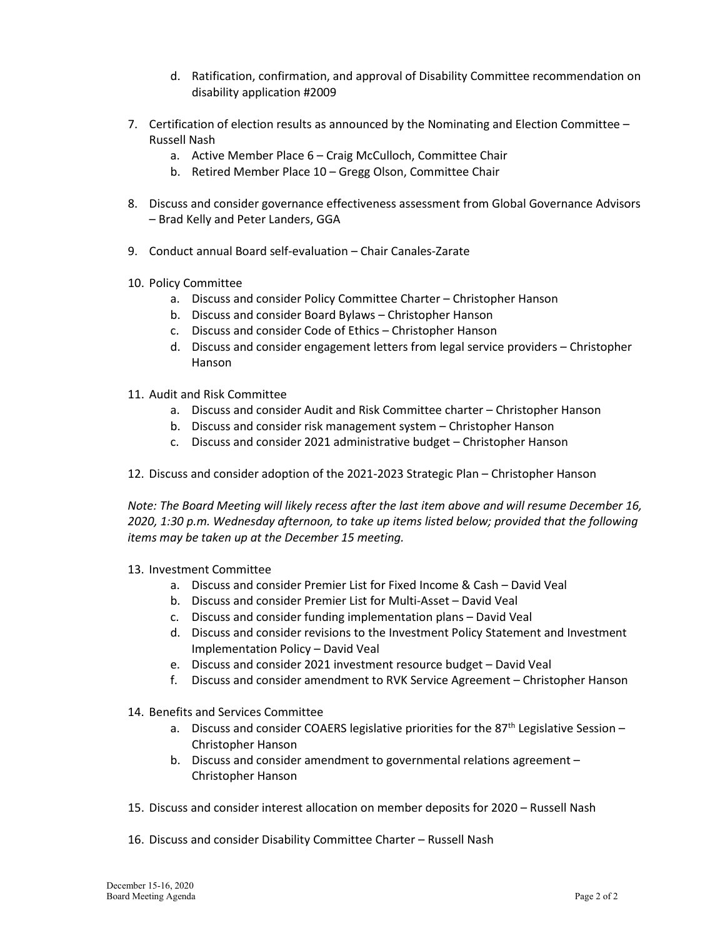- d. Ratification, confirmation, and approval of Disability Committee recommendation on disability application #2009
- 7. Certification of election results as announced by the Nominating and Election Committee Russell Nash
	- a. Active Member Place 6 Craig McCulloch, Committee Chair
	- b. Retired Member Place 10 Gregg Olson, Committee Chair
- 8. Discuss and consider governance effectiveness assessment from Global Governance Advisors – Brad Kelly and Peter Landers, GGA
- 9. Conduct annual Board self-evaluation Chair Canales-Zarate
- 10. Policy Committee
	- a. Discuss and consider Policy Committee Charter Christopher Hanson
	- b. Discuss and consider Board Bylaws Christopher Hanson
	- c. Discuss and consider Code of Ethics Christopher Hanson
	- d. Discuss and consider engagement letters from legal service providers Christopher Hanson
- 11. Audit and Risk Committee
	- a. Discuss and consider Audit and Risk Committee charter Christopher Hanson
	- b. Discuss and consider risk management system Christopher Hanson
	- c. Discuss and consider 2021 administrative budget Christopher Hanson
- 12. Discuss and consider adoption of the 2021-2023 Strategic Plan Christopher Hanson

*Note: The Board Meeting will likely recess after the last item above and will resume December 16, 2020, 1:30 p.m. Wednesday afternoon, to take up items listed below; provided that the following items may be taken up at the December 15 meeting.* 

- 13. Investment Committee
	- a. Discuss and consider Premier List for Fixed Income & Cash David Veal
	- b. Discuss and consider Premier List for Multi-Asset David Veal
	- c. Discuss and consider funding implementation plans David Veal
	- d. Discuss and consider revisions to the Investment Policy Statement and Investment Implementation Policy – David Veal
	- e. Discuss and consider 2021 investment resource budget David Veal
	- f. Discuss and consider amendment to RVK Service Agreement Christopher Hanson
- 14. Benefits and Services Committee
	- a. Discuss and consider COAERS legislative priorities for the 87<sup>th</sup> Legislative Session Christopher Hanson
	- b. Discuss and consider amendment to governmental relations agreement Christopher Hanson
- 15. Discuss and consider interest allocation on member deposits for 2020 Russell Nash
- 16. Discuss and consider Disability Committee Charter Russell Nash